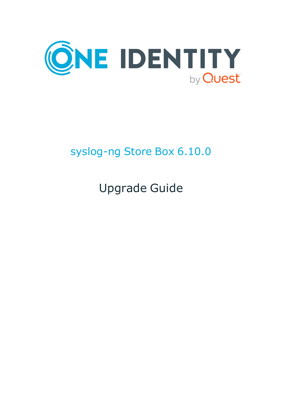

# syslog-ng Store Box 6.10.0

Upgrade Guide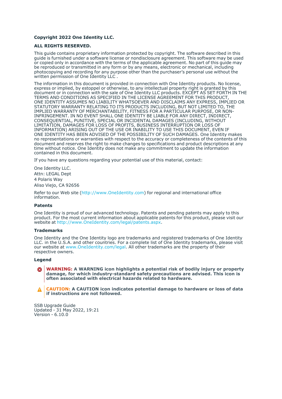#### **Copyright 2022 One Identity LLC.**

#### **ALL RIGHTS RESERVED.**

This guide contains proprietary information protected by copyright. The software described in this guide is furnished under a software license or nondisclosure agreement. This software may be used or copied only in accordance with the terms of the applicable agreement. No part of this guide may be reproduced or transmitted in any form or by any means, electronic or mechanical, including photocopying and recording for any purpose other than the purchaser's personal use without the written permission of One Identity LLC .

The information in this document is provided in connection with One Identity products. No license, express or implied, by estoppel or otherwise, to any intellectual property right is granted by this document or in connection with the sale of One Identity LLC products. EXCEPT AS SET FORTH IN THE TERMS AND CONDITIONS AS SPECIFIED IN THE LICENSE AGREEMENT FOR THIS PRODUCT, ONE IDENTITY ASSUMES NO LIABILITY WHATSOEVER AND DISCLAIMS ANY EXPRESS, IMPLIED OR STATUTORY WARRANTY RELATING TO ITS PRODUCTS INCLUDING, BUT NOT LIMITED TO, THE IMPLIED WARRANTY OF MERCHANTABILITY, FITNESS FOR A PARTICULAR PURPOSE, OR NON-INFRINGEMENT. IN NO EVENT SHALL ONE IDENTITY BE LIABLE FOR ANY DIRECT, INDIRECT, CONSEQUENTIAL, PUNITIVE, SPECIAL OR INCIDENTAL DAMAGES (INCLUDING, WITHOUT LIMITATION, DAMAGES FOR LOSS OF PROFITS, BUSINESS INTERRUPTION OR LOSS OF INFORMATION) ARISING OUT OF THE USE OR INABILITY TO USE THIS DOCUMENT, EVEN IF ONE IDENTITY HAS BEEN ADVISED OF THE POSSIBILITY OF SUCH DAMAGES. One Identity makes no representations or warranties with respect to the accuracy or completeness of the contents of this document and reserves the right to make changes to specifications and product descriptions at any time without notice. One Identity does not make any commitment to update the information contained in this document.

If you have any questions regarding your potential use of this material, contact:

One Identity LLC. Attn: LEGAL Dept 4 Polaris Way Aliso Viejo, CA 92656

Refer to our Web site [\(http://www.OneIdentity.com](http://www.oneidentity.com/)) for regional and international office information.

#### **Patents**

One Identity is proud of our advanced technology. Patents and pending patents may apply to this product. For the most current information about applicable patents for this product, please visit our website at [http://www.OneIdentity.com/legal/patents.aspx.](http://www.oneidentity.com/legal/patents.aspx)

#### **Trademarks**

One Identity and the One Identity logo are trademarks and registered trademarks of One Identity LLC. in the U.S.A. and other countries. For a complete list of One Identity trademarks, please visit our website at [www.OneIdentity.com/legal](http://www.oneidentity.com/legal). All other trademarks are the property of their respective owners.

#### **Legend**

**WARNING: A WARNING icon highlights a potential risk of bodily injury or property** œ **damage, for which industry-standard safety precautions are advised. This icon is often associated with electrical hazards related to hardware.**

**CAUTION: A CAUTION icon indicates potential damage to hardware or loss of data if instructions are not followed.**

SSB Upgrade Guide Updated - 31 May 2022, 19:21 Version - 6.10.0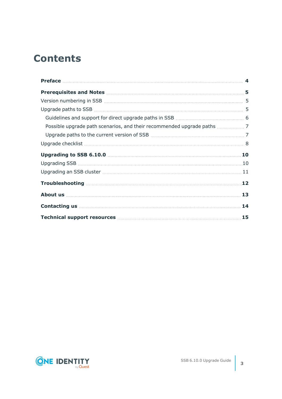## **Contents**

| 14 |
|----|

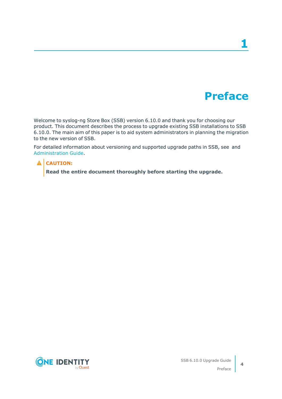## **Preface**

**1**

<span id="page-3-0"></span>Welcome to syslog-ng Store Box (SSB) version 6.10.0 and thank you for choosing our product. This document describes the process to upgrade existing SSB installations to SSB 6.10.0. The main aim of this paper is to aid system administrators in planning the migration to the new version of SSB.

For detailed information about versioning and supported upgrade paths in SSB, see and [Administration](https://support.oneidentity.com/technical-documents/syslog-ng-store-box/6.10.0/administration-guide//) Guide.

#### **A** CAUTION:

**Read the entire document thoroughly before starting the upgrade.**



**4**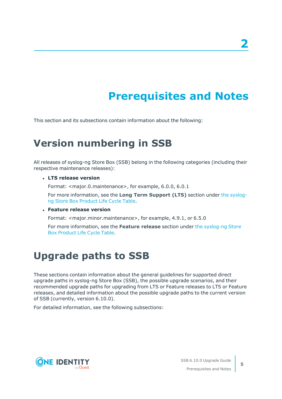# **Prerequisites and Notes**

<span id="page-4-1"></span><span id="page-4-0"></span>This section and its subsections contain information about the following:

### **Version numbering in SSB**

All releases of syslog-ng Store Box (SSB) belong in the following categories (including their respective maintenance releases):

<sup>l</sup> **LTS release version**

Format: <major.0.maintenance>, for example, 6.0.0, 6.0.1

For more information, see the **Long Term Support (LTS)** section under the [syslog](https://support.oneidentity.com/syslog-ng-store-box/lifecycle)ng Store Box [Product](https://support.oneidentity.com/syslog-ng-store-box/lifecycle) Life Cycle Table.

#### <sup>l</sup> **Feature release version**

Format: <major.minor.maintenance>, for example, 4.9.1, or 6.5.0

For more information, see the **Feature release** section under the [syslog-ng](https://support.oneidentity.com/syslog-ng-store-box/lifecycle) Store Box [Product](https://support.oneidentity.com/syslog-ng-store-box/lifecycle) Life Cycle Table.

### <span id="page-4-2"></span>**Upgrade paths to SSB**

These sections contain information about the general guidelines for supported direct upgrade paths in syslog-ng Store Box (SSB), the possible upgrade scenarios, and their recommended upgrade paths for upgrading from LTS or Feature releases to LTS or Feature releases, and detailed information about the possible upgrade paths to the current version of SSB (currently, version 6.10.0).

For detailed information, see the following subsections:



SSB 6.10.0 Upgrade Guide Prerequisites and Notes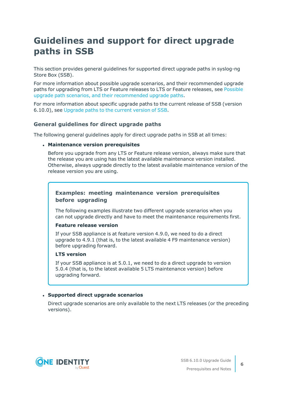### <span id="page-5-0"></span>**Guidelines and support for direct upgrade paths in SSB**

This section provides general guidelines for supported direct upgrade paths in syslog-ng Store Box (SSB).

For more information about possible upgrade scenarios, and their recommended upgrade paths for upgrading from LTS or Feature releases to LTS or Feature releases, see [Possible](#page-6-0) upgrade path scenarios, and their [recommended](#page-6-0) upgrade paths.

For more information about specific upgrade paths to the current release of SSB (version 6.10.0), see [Upgrade](#page-6-1) paths to the current version of SSB.

#### **General guidelines for direct upgrade paths**

The following general guidelines apply for direct upgrade paths in SSB at all times:

#### <sup>l</sup> **Maintenance version prerequisites**

Before you upgrade from any LTS or Feature release version, always make sure that the release you are using has the latest available maintenance version installed. Otherwise, always upgrade directly to the latest available maintenance version of the release version you are using.

#### **Examples: meeting maintenance version prerequisites before upgrading**

The following examples illustrate two different upgrade scenarios when you can not upgrade directly and have to meet the maintenance requirements first.

#### **Feature release version**

If your SSB appliance is at feature version 4.9.0, we need to do a direct upgrade to 4.9.1 (that is, to the latest available 4 F9 maintenance version) before upgrading forward.

#### **LTS version**

If your SSB appliance is at 5.0.1, we need to do a direct upgrade to version 5.0.4 (that is, to the latest available 5 LTS maintenance version) before upgrading forward.

#### <sup>l</sup> **Supported direct upgrade scenarios**

Direct upgrade scenarios are only available to the next LTS releases (or the preceding versions).

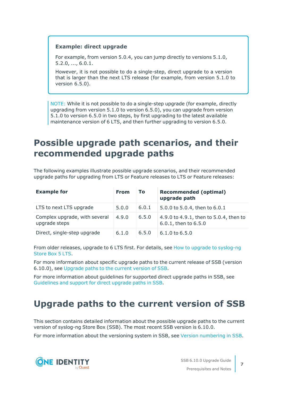#### **Example: direct upgrade**

For example, from version 5.0.4, you can jump directly to versions 5.1.0, 5.2.0, ..., 6.0.1.

However, it is not possible to do a single-step, direct upgrade to a version that is larger than the next LTS release (for example, from version 5.1.0 to version 6.5.0).

NOTE: While it is not possible to do a single-step upgrade (for example, directly upgrading from version 5.1.0 to version 6.5.0), you can upgrade from version 5.1.0 to version 6.5.0 in two steps, by first upgrading to the latest available maintenance version of 6 LTS, and then further upgrading to version 6.5.0.

### <span id="page-6-0"></span>**Possible upgrade path scenarios, and their recommended upgrade paths**

The following examples illustrate possible upgrade scenarios, and their recommended upgrade paths for upgrading from LTS or Feature releases to LTS or Feature releases:

| <b>Example for</b>                             | <b>From</b> | To.   | <b>Recommended (optimal)</b><br>upgrade path                   |
|------------------------------------------------|-------------|-------|----------------------------------------------------------------|
| LTS to next LTS upgrade                        | 5.0.0       | 6.0.1 | 5.0.0 to 5.0.4, then to 6.0.1                                  |
| Complex upgrade, with several<br>upgrade steps | 4.9.0       | 6.5.0 | 4.9.0 to 4.9.1, then to 5.0.4, then to<br>6.0.1, then to 6.5.0 |
| Direct, single-step upgrade                    | 6.1.0       | 6.5.0 | $6.1.0$ to $6.5.0$                                             |

From older releases, upgrade to 6 LTS first. For details, see How to upgrade to [syslog-ng](https://support.oneidentity.com/technical-documents/syslog-ng-store-box/6.0/upgrade-guide) [Store](https://support.oneidentity.com/technical-documents/syslog-ng-store-box/6.0/upgrade-guide) Box 5 LTS.

For more information about specific upgrade paths to the current release of SSB (version 6.10.0), see [Upgrade](#page-6-1) paths to the current version of SSB.

For more information about guidelines for supported direct upgrade paths in SSB, see [Guidelines](#page-5-0) and support for direct upgrade paths in SSB.

### <span id="page-6-1"></span>**Upgrade paths to the current version of SSB**

This section contains detailed information about the possible upgrade paths to the current version of syslog-ng Store Box (SSB). The most recent SSB version is 6.10.0.

For more information about the versioning system in SSB, see Version [numbering](#page-4-1) in SSB.



SSB 6.10.0 Upgrade Guide Prerequisites and Notes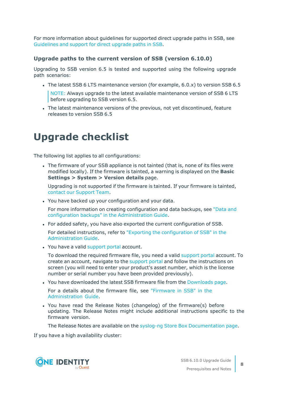For more information about guidelines for supported direct upgrade paths in SSB, see [Guidelines](#page-5-0) and support for direct upgrade paths in SSB.

#### **Upgrade paths to the current version of SSB (version 6.10.0)**

Upgrading to SSB version 6.5 is tested and supported using the following upgrade path scenarios:

• The latest SSB 6 LTS maintenance version (for example,  $6.0 \times$ ) to version SSB 6.5

NOTE: Always upgrade to the latest available maintenance version of SSB 6 LTS before upgrading to SSB version 6.5.

The latest maintenance versions of the previous, not yet discontinued, feature releases to version SSB 6.5

### <span id="page-7-0"></span>**Upgrade checklist**

The following list applies to all configurations:

• The firmware of your SSB appliance is not tainted (that is, none of its files were modified locally). If the firmware is tainted, a warning is displayed on the **Basic Settings > System > Version details** page.

Upgrading is not supported if the firmware is tainted. If your firmware is tainted, contact our [Support](https://support.oneidentity.com/syslog-ng-store-box/) Team.

. You have backed up your configuration and your data.

For more information on creating configuration and data backups, see ["Data](https://support.oneidentity.com/technical-documents/syslog-ng-store-box/6.10.0/administration-guide/basic-settings/data-and-configuration-backups/) and configuration backups" in the [Administration](https://support.oneidentity.com/technical-documents/syslog-ng-store-box/6.10.0/administration-guide/basic-settings/data-and-configuration-backups/) Guide.

• For added safety, you have also exported the current configuration of SSB.

For detailed instructions, refer to "Exporting the [configuration](https://support.oneidentity.com/technical-documents/syslog-ng-store-box/6.10.0/administration-guide/managing-ssb/upgrading-ssb/exporting-the-configuration-of-ssb/) of SSB" in the [Administration](https://support.oneidentity.com/technical-documents/syslog-ng-store-box/6.10.0/administration-guide/managing-ssb/upgrading-ssb/exporting-the-configuration-of-ssb/) Guide.

. You have a valid [support](https://support.oneidentity.com/en-US/Login) portal account.

To download the required firmware file, you need a valid [support](https://support.oneidentity.com/en-US/Login) portal account. To create an account, navigate to the [support](https://support.oneidentity.com/en-US/Login) portal and follow the instructions on screen (you will need to enter your product's asset number, which is the license number or serial number you have been provided previously).

• You have downloaded the latest SSB firmware file from the [Downloads](https://support.oneidentity.com/syslog-ng-store-box/download-new-releases) page.

For a details about the firmware file, see ["Firmware](https://support.oneidentity.com/technical-documents/syslog-ng-store-box/6.10.0/administration-guide/the-concepts-of-ssb/firmware-in-ssb/) in SSB" in the [Administration](https://support.oneidentity.com/technical-documents/syslog-ng-store-box/6.10.0/administration-guide/the-concepts-of-ssb/firmware-in-ssb/) Guide.

• You have read the Release Notes (changelog) of the firmware(s) before updating. The Release Notes might include additional instructions specific to the firmware version.

The Release Notes are available on the syslog-ng Store Box [Documentation](https://support.oneidentity.com/syslog-ng-store-box/technical-documents) page.

If you have a high availability cluster:

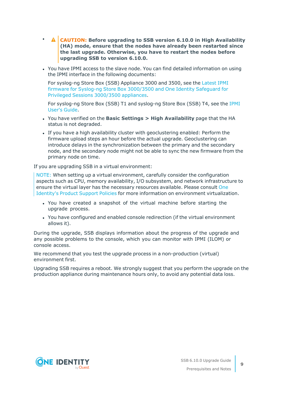- <sup>l</sup> **CAUTION: Before upgrading to SSB version 6.10.0 in High Availability (HA) mode, ensure that the nodes have already been restarted since the last upgrade. Otherwise, you have to restart the nodes before upgrading SSB to version 6.10.0.**
- You have IPMI access to the slave node. You can find detailed information on using the IPMI interface in the following documents:

For syslog-ng Store Box (SSB) Appliance 3000 and 3500, see the [Latest](https://support.oneidentity.com/kb/312276/) IPMI firmware for Syslog-ng Store Box [3000/3500](https://support.oneidentity.com/kb/312276/) and One Identity Safeguard for Privileged Sessions [3000/3500](https://support.oneidentity.com/kb/312276/) appliances.

For syslog-ng Store Box (SSB) T1 and syslog-ng Store Box (SSB) T4, see the [IPMI](https://www.supermicro.com/manuals/other/IPMI_Users_Guide.pdf) [User's](https://www.supermicro.com/manuals/other/IPMI_Users_Guide.pdf) Guide.

- <sup>l</sup> You have verified on the **Basic Settings > High Availability** page that the HA status is not degraded.
- <sup>l</sup> If you have a high availability cluster with geoclustering enabled: Perform the firmware upload steps an hour before the actual upgrade. Geoclustering can introduce delays in the synchronization between the primary and the secondary node, and the secondary node might not be able to sync the new firmware from the primary node on time.

If you are upgrading SSB in a virtual environment:

NOTE: When setting up a virtual environment, carefully consider the configuration aspects such as CPU, memory availability, I/O subsystem, and network infrastructure to ensure the virtual layer has the necessary resources available. Please consult [One](https://support.oneidentity.com/essentials/support-guide#tab3) [Identity's](https://support.oneidentity.com/essentials/support-guide#tab3) Product Support Policies for more information on environment virtualization.

- You have created a snapshot of the virtual machine before starting the upgrade process.
- You have configured and enabled console redirection (if the virtual environment allows it).

During the upgrade, SSB displays information about the progress of the upgrade and any possible problems to the console, which you can monitor with IPMI (ILOM) or console access.

We recommend that you test the upgrade process in a non-production (virtual) environment first.

Upgrading SSB requires a reboot. We strongly suggest that you perform the upgrade on the production appliance during maintenance hours only, to avoid any potential data loss.

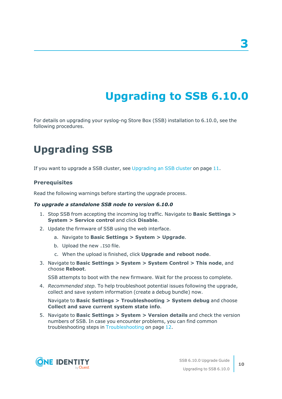# **Upgrading to SSB 6.10.0**

<span id="page-9-0"></span>For details on upgrading your syslog-ng Store Box (SSB) installation to 6.10.0, see the following procedures.

## <span id="page-9-1"></span>**Upgrading SSB**

If you want to upgrade a SSB cluster, see [Upgrading](#page-10-0) an SSB cluster on page 11.

#### **Prerequisites**

Read the following warnings before starting the upgrade process.

#### *To upgrade a standalone SSB node to version 6.10.0*

- 1. Stop SSB from accepting the incoming log traffic. Navigate to **Basic Settings > System > Service control** and click **Disable**.
- 2. Update the firmware of SSB using the web interface.
	- a. Navigate to **Basic Settings > System > Upgrade**.
	- b. Upload the new .ISO file.
	- c. When the upload is finished, click **Upgrade and reboot node**.
- 3. Navigate to **Basic Settings > System > System Control > This node**, and choose **Reboot**.

SSB attempts to boot with the new firmware. Wait for the process to complete.

4. *Recommended step.* To help troubleshoot potential issues following the upgrade, collect and save system information (create a debug bundle) now.

Navigate to **Basic Settings > Troubleshooting > System debug** and choose **Collect and save current system state info**.

5. Navigate to **Basic Settings > System > Version details** and check the version numbers of SSB. In case you encounter problems, you can find common troubleshooting steps in [Troubleshooting](#page-11-0) on page 12.

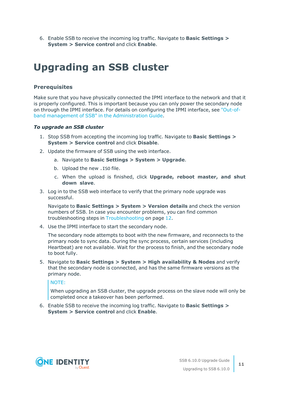6. Enable SSB to receive the incoming log traffic. Navigate to **Basic Settings > System > Service control** and click **Enable**.

## <span id="page-10-0"></span>**Upgrading an SSB cluster**

#### **Prerequisites**

Make sure that you have physically connected the IPMI interface to the network and that it is properly configured. This is important because you can only power the secondary node on through the IPMI interface. For details on configuring the IPMI interface, see ["Out-of](https://support.oneidentity.com/technical-documents/syslog-ng-store-box/6.10.0/administration-guide/managing-ssb/out-of-band-management-of-ssb/)band management of SSB" in the [Administration](https://support.oneidentity.com/technical-documents/syslog-ng-store-box/6.10.0/administration-guide/managing-ssb/out-of-band-management-of-ssb/) Guide.

#### *To upgrade an SSB cluster*

- 1. Stop SSB from accepting the incoming log traffic. Navigate to **Basic Settings > System > Service control** and click **Disable**.
- 2. Update the firmware of SSB using the web interface.
	- a. Navigate to **Basic Settings > System > Upgrade**.
	- b. Upload the new .ISO file.
	- c. When the upload is finished, click **Upgrade, reboot master, and shut down slave**.
- 3. Log in to the SSB web interface to verify that the primary node upgrade was successful.

Navigate to **Basic Settings > System > Version details** and check the version numbers of SSB. In case you encounter problems, you can find common troubleshooting steps in [Troubleshooting](#page-11-0) on page 12.

4. Use the IPMI interface to start the secondary node.

The secondary node attempts to boot with the new firmware, and reconnects to the primary node to sync data. During the sync process, certain services (including Heartbeat) are not available. Wait for the process to finish, and the secondary node to boot fully.

5. Navigate to **Basic Settings > System > High availability & Nodes** and verify that the secondary node is connected, and has the same firmware versions as the primary node.

NOTE:

When upgrading an SSB cluster, the upgrade process on the slave node will only be completed once a takeover has been performed.

6. Enable SSB to receive the incoming log traffic. Navigate to **Basic Settings > System > Service control** and click **Enable**.

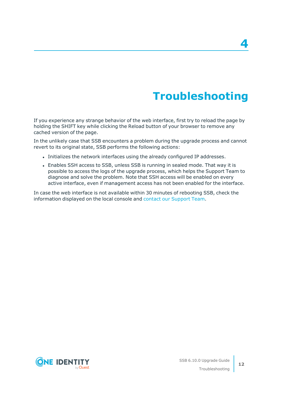# **Troubleshooting**

**4**

<span id="page-11-0"></span>If you experience any strange behavior of the web interface, first try to reload the page by holding the SHIFT key while clicking the Reload button of your browser to remove any cached version of the page.

In the unlikely case that SSB encounters a problem during the upgrade process and cannot revert to its original state, SSB performs the following actions:

- <sup>l</sup> Initializes the network interfaces using the already configured IP addresses.
- Enables SSH access to SSB, unless SSB is running in sealed mode. That way it is possible to access the logs of the upgrade process, which helps the Support Team to diagnose and solve the problem. Note that SSH access will be enabled on every active interface, even if management access has not been enabled for the interface.

In case the web interface is not available within 30 minutes of rebooting SSB, check the information displayed on the local console and contact our [Support](https://support.oneidentity.com/syslog-ng-store-box/) Team.

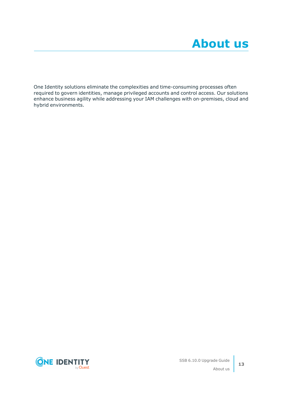<span id="page-12-0"></span>One Identity solutions eliminate the complexities and time-consuming processes often required to govern identities, manage privileged accounts and control access. Our solutions enhance business agility while addressing your IAM challenges with on-premises, cloud and hybrid environments.

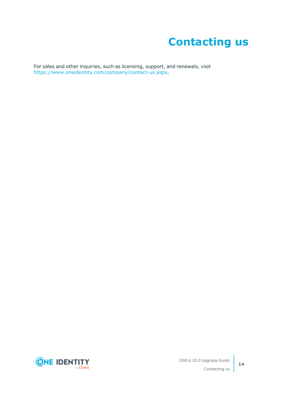# **Contacting us**

<span id="page-13-0"></span>For sales and other inquiries, such as licensing, support, and renewals, visit [https://www.oneidentity.com/company/contact-us.aspx.](https://www.oneidentity.com/company/contact-us.aspx)

**ONE IDENTITY** by **Quest**